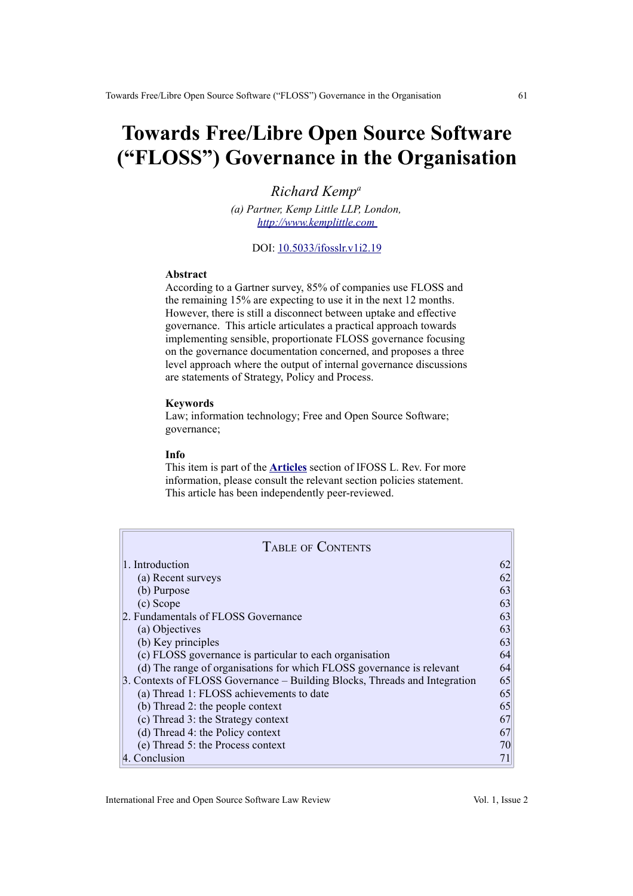# **Towards Free/Libre Open Source Software ("FLOSS") Governance in the Organisation**

*Richard Kemp<sup>a</sup> (a) Partner, Kemp Little LLP, London,  [http:// www.kemplittle.com](http://www.kemplittle.com/)*

#### DOI: [10.5033/ifosslr.v1i2.19](http://dx.doi.org/10.5033/ifosslr.v1i2.19)

## **Abstract**

According to a Gartner survey, 85% of companies use FLOSS and the remaining 15% are expecting to use it in the next 12 months. However, there is still a disconnect between uptake and effective governance. This article articulates a practical approach towards implementing sensible, proportionate FLOSS governance focusing on the governance documentation concerned, and proposes a three level approach where the output of internal governance discussions are statements of Strategy, Policy and Process.

## **Keywords**

Law; information technology; Free and Open Source Software; governance;

#### **Info**

This item is part of the **[Articles](http://www.ifosslr.org/ifosslr/about/editorialPolicies#sectionPolicies)** section of IFOSS L. Rev. For more information, please consult the relevant section policies statement. This article has been independently peer-reviewed.

| <b>TABLE OF CONTENTS</b>                                                   |    |
|----------------------------------------------------------------------------|----|
| 1. Introduction                                                            | 62 |
| (a) Recent surveys                                                         | 62 |
| (b) Purpose                                                                | 63 |
| (c) Scope                                                                  | 63 |
| 2. Fundamentals of FLOSS Governance                                        | 63 |
| (a) Objectives                                                             | 63 |
| (b) Key principles                                                         | 63 |
| (c) FLOSS governance is particular to each organisation                    | 64 |
| (d) The range of organisations for which FLOSS governance is relevant      | 64 |
| 3. Contexts of FLOSS Governance – Building Blocks, Threads and Integration | 65 |
| (a) Thread 1: FLOSS achievements to date                                   | 65 |
| (b) Thread 2: the people context                                           | 65 |
| (c) Thread 3: the Strategy context                                         | 67 |
| (d) Thread 4: the Policy context                                           | 67 |
| (e) Thread 5: the Process context                                          | 70 |
| 4. Conclusion                                                              |    |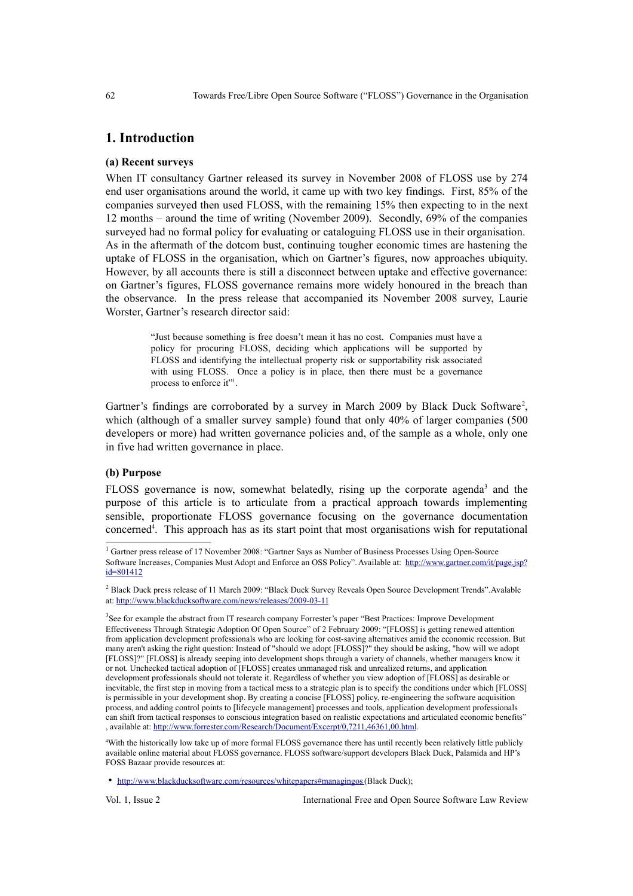## **1. Introduction**

#### **(a) Recent surveys**

When IT consultancy Gartner released its survey in November 2008 of FLOSS use by 274 end user organisations around the world, it came up with two key findings. First, 85% of the companies surveyed then used FLOSS, with the remaining 15% then expecting to in the next 12 months – around the time of writing (November 2009). Secondly, 69% of the companies surveyed had no formal policy for evaluating or cataloguing FLOSS use in their organisation. As in the aftermath of the dotcom bust, continuing tougher economic times are hastening the uptake of FLOSS in the organisation, which on Gartner's figures, now approaches ubiquity. However, by all accounts there is still a disconnect between uptake and effective governance: on Gartner's figures, FLOSS governance remains more widely honoured in the breach than the observance. In the press release that accompanied its November 2008 survey, Laurie Worster, Gartner's research director said:

> "Just because something is free doesn't mean it has no cost. Companies must have a policy for procuring FLOSS, deciding which applications will be supported by FLOSS and identifying the intellectual property risk or supportability risk associated with using FLOSS. Once a policy is in place, then there must be a governance process to enforce it"<sup>[1](#page-1-0)</sup>.

Gartner's findings are corroborated by a survey in March [2](#page-1-1)009 by Black Duck Software<sup>2</sup>, which (although of a smaller survey sample) found that only 40% of larger companies (500 developers or more) had written governance policies and, of the sample as a whole, only one in five had written governance in place.

## **(b) Purpose**

FLOSS governance is now, somewhat belatedly, rising up the corporate agenda<sup>[3](#page-1-2)</sup> and the purpose of this article is to articulate from a practical approach towards implementing sensible, proportionate FLOSS governance focusing on the governance documentation concerned<sup>[4](#page-1-3)</sup>. This approach has as its start point that most organisations wish for reputational

<span id="page-1-3"></span><sup>4</sup>With the historically low take up of more formal FLOSS governance there has until recently been relatively little publicly available online material about FLOSS governance. FLOSS software/support developers Black Duck, Palamida and HP's FOSS Bazaar provide resources at:

Vol. 1, Issue 2 International Free and Open Source Software Law Review

<span id="page-1-0"></span><sup>&</sup>lt;sup>1</sup> Gartner press release of 17 November 2008: "Gartner Says as Number of Business Processes Using Open-Source Software Increases, Companies Must Adopt and Enforce an OSS Policy". Available at: [http://www.gartner.com/it/page.jsp?](http://www.gartner.com/it/page.jsp?id=801412) [id=801412](http://www.gartner.com/it/page.jsp?id=801412)

<span id="page-1-1"></span><sup>&</sup>lt;sup>2</sup> Black Duck press release of 11 March 2009: "Black Duck Survey Reveals Open Source Development Trends". Avalable at:<http://www.blackducksoftware.com/news/releases/2009-03-11>

<span id="page-1-2"></span><sup>&</sup>lt;sup>3</sup>See for example the abstract from IT research company Forrester's paper "Best Practices: Improve Development Effectiveness Through Strategic Adoption Of Open Source" of 2 February 2009: "[FLOSS] is getting renewed attention from application development professionals who are looking for cost-saving alternatives amid the economic recession. But many aren't asking the right question: Instead of "should we adopt [FLOSS]?" they should be asking, "how will we adopt [FLOSS]?" [FLOSS] is already seeping into development shops through a variety of channels, whether managers know it or not. Unchecked tactical adoption of [FLOSS] creates unmanaged risk and unrealized returns, and application development professionals should not tolerate it. Regardless of whether you view adoption of [FLOSS] as desirable or inevitable, the first step in moving from a tactical mess to a strategic plan is to specify the conditions under which [FLOSS] is permissible in your development shop. By creating a concise [FLOSS] policy, re-engineering the software acquisition process, and adding control points to [lifecycle management] processes and tools, application development professionals can shift from tactical responses to conscious integration based on realistic expectations and articulated economic benefits" , available at: [http://www.forrester.com/Research/Document/Excerpt/0,7211,46361,00.html.](http://www.forrester.com/Research/Document/Excerpt/0,7211,46361,00.html)

<sup>•</sup> <http://www.blackducksoftware.com/resources/whitepapers#managingos>(Black Duck);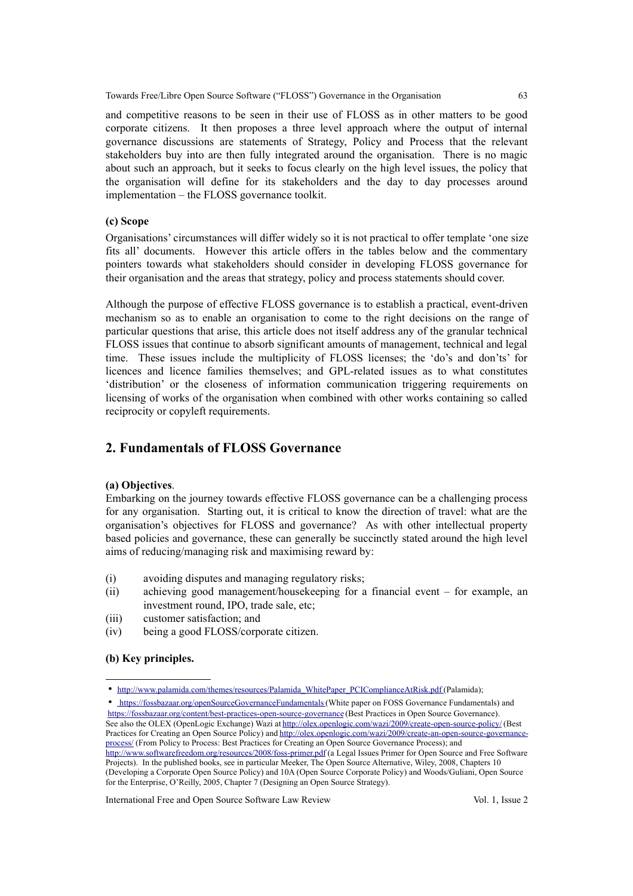Towards Free/Libre Open Source Software ("FLOSS") Governance in the Organisation 63

and competitive reasons to be seen in their use of FLOSS as in other matters to be good corporate citizens. It then proposes a three level approach where the output of internal governance discussions are statements of Strategy, Policy and Process that the relevant stakeholders buy into are then fully integrated around the organisation. There is no magic about such an approach, but it seeks to focus clearly on the high level issues, the policy that the organisation will define for its stakeholders and the day to day processes around implementation – the FLOSS governance toolkit.

## **(c) Scope**

Organisations' circumstances will differ widely so it is not practical to offer template 'one size fits all' documents. However this article offers in the tables below and the commentary pointers towards what stakeholders should consider in developing FLOSS governance for their organisation and the areas that strategy, policy and process statements should cover.

Although the purpose of effective FLOSS governance is to establish a practical, event-driven mechanism so as to enable an organisation to come to the right decisions on the range of particular questions that arise, this article does not itself address any of the granular technical FLOSS issues that continue to absorb significant amounts of management, technical and legal time. These issues include the multiplicity of FLOSS licenses; the 'do's and don'ts' for licences and licence families themselves; and GPL-related issues as to what constitutes 'distribution' or the closeness of information communication triggering requirements on licensing of works of the organisation when combined with other works containing so called reciprocity or copyleft requirements.

# **2. Fundamentals of FLOSS Governance**

## **(a) Objectives**.

Embarking on the journey towards effective FLOSS governance can be a challenging process for any organisation. Starting out, it is critical to know the direction of travel: what are the organisation's objectives for FLOSS and governance? As with other intellectual property based policies and governance, these can generally be succinctly stated around the high level aims of reducing/managing risk and maximising reward by:

- (i) avoiding disputes and managing regulatory risks;
- (ii) achieving good management/housekeeping for a financial event for example, an investment round, IPO, trade sale, etc;
- (iii) customer satisfaction; and
- (iv) being a good FLOSS/corporate citizen.

## **(b) Key principles.**

[process/](http://olex.openlogic.com/wazi/2009/create-an-open-source-governance-process/) (From Policy to Process: Best Practices for Creating an Open Source Governance Process); and <http://www.softwarefreedom.org/resources/2008/foss-primer.pdf>(a Legal Issues Primer for Open Source and Free Software Projects). In the published books, see in particular Meeker, The Open Source Alternative, Wiley, 2008, Chapters 10

(Developing a Corporate Open Source Policy) and 10A (Open Source Corporate Policy) and Woods/Guliani, Open Source for the Enterprise, O'Reilly, 2005, Chapter 7 (Designing an Open Source Strategy).

International Free and Open Source Software Law Review Vol. 1, Issue 2

<sup>•</sup> [http://www.palamida.com/themes/resources/Palamida\\_WhitePaper\\_PCIComplianceAtRisk.pdf](http://www.palamida.com/themes/resources/Palamida_WhitePaper_PCIComplianceAtRisk.pdf) (Palamida);

<sup>•</sup> <https://fossbazaar.org/openSourceGovernanceFundamentals>(White paper on FOSS Governance Fundamentals) and <https://fossbazaar.org/content/best-practices-open-source-governance>(Best Practices in Open Source Governance). See also the OLEX (OpenLogic Exchange) Wazi at<http://olex.openlogic.com/wazi/2009/create-open-source-policy/>(Best Practices for Creating an Open Source Policy) and [http://olex.openlogic.com/wazi/2009/create-an-open-source-governance-](http://olex.openlogic.com/wazi/2009/create-an-open-source-governance-process/)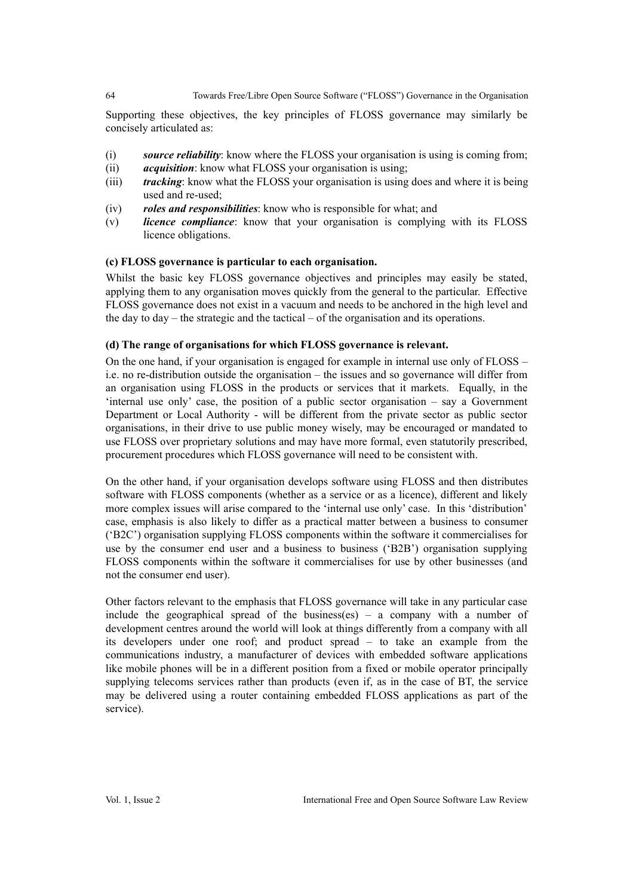## 64 Towards Free/Libre Open Source Software ("FLOSS") Governance in the Organisation

Supporting these objectives, the key principles of FLOSS governance may similarly be concisely articulated as:

- (i) *source reliability*: know where the FLOSS your organisation is using is coming from;
- (ii) *acquisition*: know what FLOSS your organisation is using;
- (iii) *tracking*: know what the FLOSS your organisation is using does and where it is being used and re-used;
- (iv) *roles and responsibilities*: know who is responsible for what; and
- (v) *licence compliance*: know that your organisation is complying with its FLOSS licence obligations.

## **(c) FLOSS governance is particular to each organisation.**

Whilst the basic key FLOSS governance objectives and principles may easily be stated. applying them to any organisation moves quickly from the general to the particular. Effective FLOSS governance does not exist in a vacuum and needs to be anchored in the high level and the day to day – the strategic and the tactical – of the organisation and its operations.

## **(d) The range of organisations for which FLOSS governance is relevant.**

On the one hand, if your organisation is engaged for example in internal use only of FLOSS – i.e. no re-distribution outside the organisation – the issues and so governance will differ from an organisation using FLOSS in the products or services that it markets. Equally, in the 'internal use only' case, the position of a public sector organisation – say a Government Department or Local Authority - will be different from the private sector as public sector organisations, in their drive to use public money wisely, may be encouraged or mandated to use FLOSS over proprietary solutions and may have more formal, even statutorily prescribed, procurement procedures which FLOSS governance will need to be consistent with.

On the other hand, if your organisation develops software using FLOSS and then distributes software with FLOSS components (whether as a service or as a licence), different and likely more complex issues will arise compared to the 'internal use only' case. In this 'distribution' case, emphasis is also likely to differ as a practical matter between a business to consumer ('B2C') organisation supplying FLOSS components within the software it commercialises for use by the consumer end user and a business to business ('B2B') organisation supplying FLOSS components within the software it commercialises for use by other businesses (and not the consumer end user).

Other factors relevant to the emphasis that FLOSS governance will take in any particular case include the geographical spread of the business(es) – a company with a number of development centres around the world will look at things differently from a company with all its developers under one roof; and product spread – to take an example from the communications industry, a manufacturer of devices with embedded software applications like mobile phones will be in a different position from a fixed or mobile operator principally supplying telecoms services rather than products (even if, as in the case of BT, the service may be delivered using a router containing embedded FLOSS applications as part of the service).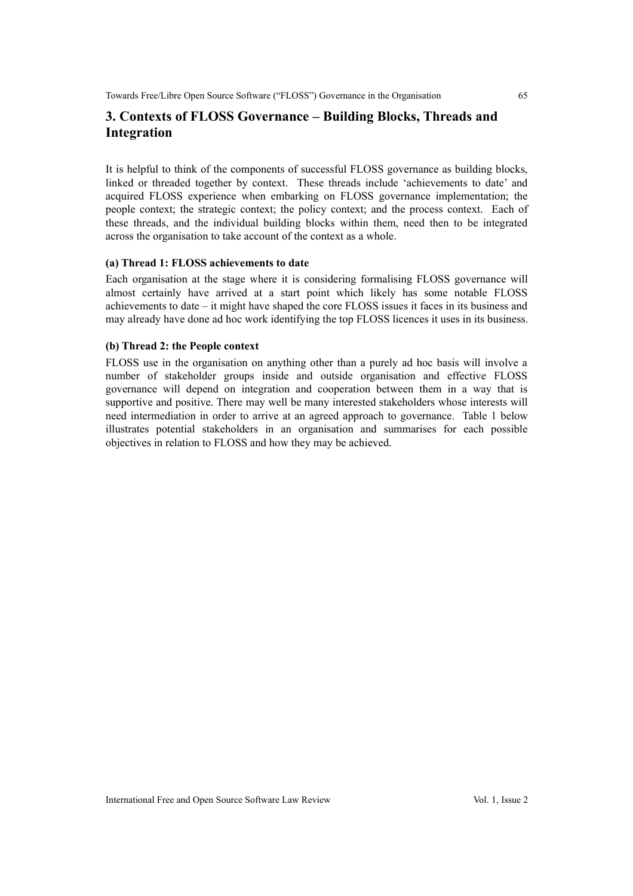# **3. Contexts of FLOSS Governance – Building Blocks, Threads and Integration**

It is helpful to think of the components of successful FLOSS governance as building blocks, linked or threaded together by context. These threads include 'achievements to date' and acquired FLOSS experience when embarking on FLOSS governance implementation; the people context; the strategic context; the policy context; and the process context. Each of these threads, and the individual building blocks within them, need then to be integrated across the organisation to take account of the context as a whole.

## **(a) Thread 1: FLOSS achievements to date**

Each organisation at the stage where it is considering formalising FLOSS governance will almost certainly have arrived at a start point which likely has some notable FLOSS achievements to date – it might have shaped the core FLOSS issues it faces in its business and may already have done ad hoc work identifying the top FLOSS licences it uses in its business.

#### **(b) Thread 2: the People context**

FLOSS use in the organisation on anything other than a purely ad hoc basis will involve a number of stakeholder groups inside and outside organisation and effective FLOSS governance will depend on integration and cooperation between them in a way that is supportive and positive. There may well be many interested stakeholders whose interests will need intermediation in order to arrive at an agreed approach to governance. Table 1 below illustrates potential stakeholders in an organisation and summarises for each possible objectives in relation to FLOSS and how they may be achieved.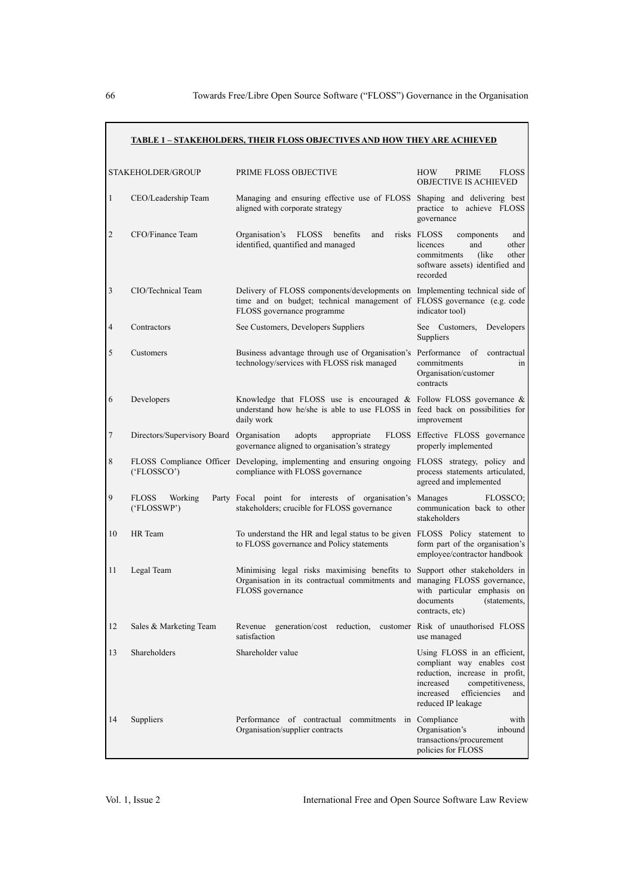|                | <b>STAKEHOLDER/GROUP</b>                 | PRIME FLOSS OBJECTIVE                                                                                                                                                                | <b>HOW</b><br>PRIME<br><b>FLOSS</b><br><b>OBJECTIVE IS ACHIEVED</b>                                                                                                                     |
|----------------|------------------------------------------|--------------------------------------------------------------------------------------------------------------------------------------------------------------------------------------|-----------------------------------------------------------------------------------------------------------------------------------------------------------------------------------------|
| $\mathbf{1}$   | CEO/Leadership Team                      | Managing and ensuring effective use of FLOSS Shaping and delivering best<br>aligned with corporate strategy                                                                          | practice to achieve FLOSS<br>governance                                                                                                                                                 |
| $\overline{2}$ | CFO/Finance Team                         | Organisation's<br><b>FLOSS</b><br>benefits<br>and<br>identified, quantified and managed                                                                                              | risks FLOSS<br>components<br>and<br>licences<br>and<br>other<br>commitments<br>(like)<br>other<br>software assets) identified and<br>recorded                                           |
| 3              | CIO/Technical Team                       | Delivery of FLOSS components/developments on Implementing technical side of<br>time and on budget; technical management of FLOSS governance (e.g. code<br>FLOSS governance programme | indicator tool)                                                                                                                                                                         |
| 4              | Contractors                              | See Customers, Developers Suppliers                                                                                                                                                  | Developers<br>See Customers,<br>Suppliers                                                                                                                                               |
| 5              | Customers                                | Business advantage through use of Organisation's Performance<br>technology/services with FLOSS risk managed                                                                          | of contractual<br>commitments<br>in<br>Organisation/customer<br>contracts                                                                                                               |
| 6              | Developers                               | Knowledge that FLOSS use is encouraged $\&$ Follow FLOSS governance $\&$<br>understand how he/she is able to use FLOSS in feed back on possibilities for<br>daily work               | improvement                                                                                                                                                                             |
| 7              | Directors/Supervisory Board Organisation | adopts<br>appropriate<br>governance aligned to organisation's strategy                                                                                                               | FLOSS Effective FLOSS governance<br>properly implemented                                                                                                                                |
| 8              | ('FLOSSCO')                              | FLOSS Compliance Officer Developing, implementing and ensuring ongoing FLOSS strategy, policy and<br>compliance with FLOSS governance                                                | process statements articulated,<br>agreed and implemented                                                                                                                               |
| 9              | <b>FLOSS</b><br>Working<br>('FLOSSWP')   | Party Focal point for interests of organisation's Manages<br>stakeholders; crucible for FLOSS governance                                                                             | FLOSSCO;<br>communication back to other<br>stakeholders                                                                                                                                 |
| 10             | HR Team                                  | To understand the HR and legal status to be given FLOSS Policy statement to<br>to FLOSS governance and Policy statements                                                             | form part of the organisation's<br>employee/contractor handbook                                                                                                                         |
| 11             | Legal Team                               | Minimising legal risks maximising benefits to Support other stakeholders in<br>Organisation in its contractual commitments and managing FLOSS governance,<br>FLOSS governance        | with particular emphasis on<br>documents<br>(statements,<br>contracts, etc)                                                                                                             |
| 12             | Sales & Marketing Team                   | Revenue generation/cost reduction,<br>satisfaction                                                                                                                                   | customer Risk of unauthorised FLOSS<br>use managed                                                                                                                                      |
| 13             | Shareholders                             | Shareholder value                                                                                                                                                                    | Using FLOSS in an efficient,<br>compliant way enables cost<br>reduction, increase in profit,<br>increased<br>competitiveness,<br>efficiencies<br>increased<br>and<br>reduced IP leakage |
| 14             | Suppliers                                | Performance of contractual commitments<br>Organisation/supplier contracts                                                                                                            | in Compliance<br>with<br>Organisation's<br>inbound<br>transactions/procurement<br>policies for FLOSS                                                                                    |

## **TABLE 1 – STAKEHOLDERS, THEIR FLOSS OBJECTIVES AND HOW THEY ARE ACHIEVED**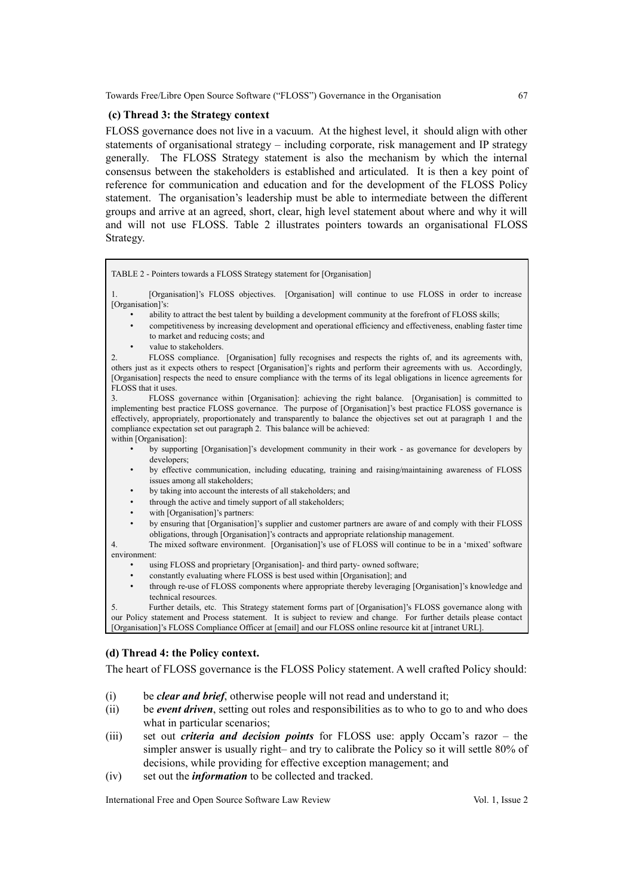Towards Free/Libre Open Source Software ("FLOSS") Governance in the Organisation 67

## **(c) Thread 3: the Strategy context**

FLOSS governance does not live in a vacuum. At the highest level, it should align with other statements of organisational strategy – including corporate, risk management and IP strategy generally. The FLOSS Strategy statement is also the mechanism by which the internal consensus between the stakeholders is established and articulated. It is then a key point of reference for communication and education and for the development of the FLOSS Policy statement. The organisation's leadership must be able to intermediate between the different groups and arrive at an agreed, short, clear, high level statement about where and why it will and will not use FLOSS. Table 2 illustrates pointers towards an organisational FLOSS Strategy.



1. [Organisation]'s FLOSS objectives. [Organisation] will continue to use FLOSS in order to increase [Organisation]'s:

- ability to attract the best talent by building a development community at the forefront of FLOSS skills;
- competitiveness by increasing development and operational efficiency and effectiveness, enabling faster time to market and reducing costs; and
- value to stakeholders.

2. FLOSS compliance. [Organisation] fully recognises and respects the rights of, and its agreements with, others just as it expects others to respect [Organisation]'s rights and perform their agreements with us. Accordingly, [Organisation] respects the need to ensure compliance with the terms of its legal obligations in licence agreements for FLOSS that it uses.

3. FLOSS governance within [Organisation]: achieving the right balance. [Organisation] is committed to implementing best practice FLOSS governance. The purpose of [Organisation]'s best practice FLOSS governance is effectively, appropriately, proportionately and transparently to balance the objectives set out at paragraph 1 and the compliance expectation set out paragraph 2. This balance will be achieved: within [Organisation]:

- by supporting [Organisation]'s development community in their work as governance for developers by developers;
- by effective communication, including educating, training and raising/maintaining awareness of FLOSS issues among all stakeholders;
- by taking into account the interests of all stakeholders; and
- through the active and timely support of all stakeholders;
- with [Organisation]'s partners:
- by ensuring that [Organisation]'s supplier and customer partners are aware of and comply with their FLOSS obligations, through [Organisation]'s contracts and appropriate relationship management.
- 4. The mixed software environment. [Organisation]'s use of FLOSS will continue to be in a 'mixed' software environment:
	- using FLOSS and proprietary [Organisation]- and third party- owned software;
	- constantly evaluating where FLOSS is best used within [Organisation]; and
	- through re-use of FLOSS components where appropriate thereby leveraging [Organisation]'s knowledge and technical resources.

5. Further details, etc. This Strategy statement forms part of [Organisation]'s FLOSS governance along with our Policy statement and Process statement. It is subject to review and change. For further details please contact [Organisation]'s FLOSS Compliance Officer at [email] and our FLOSS online resource kit at [intranet URL].

## **(d) Thread 4: the Policy context.**

The heart of FLOSS governance is the FLOSS Policy statement. A well crafted Policy should:

- (i) be *clear and brief*, otherwise people will not read and understand it;
- (ii) be *event driven*, setting out roles and responsibilities as to who to go to and who does what in particular scenarios:
- (iii) set out *criteria and decision points* for FLOSS use: apply Occam's razor the simpler answer is usually right– and try to calibrate the Policy so it will settle 80% of decisions, while providing for effective exception management; and
- (iv) set out the *information* to be collected and tracked.

International Free and Open Source Software Law Review Vol. 1, Issue 2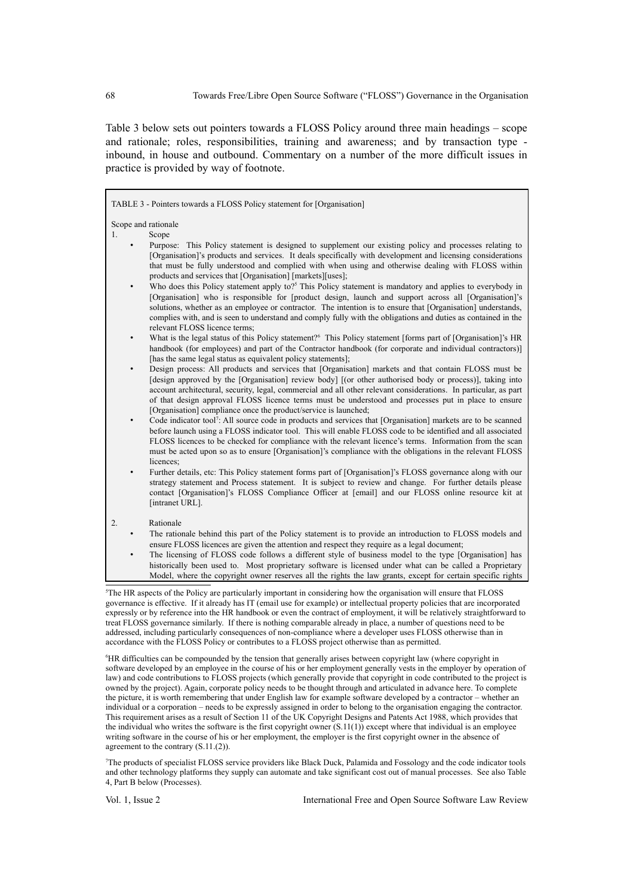Table 3 below sets out pointers towards a FLOSS Policy around three main headings – scope and rationale; roles, responsibilities, training and awareness; and by transaction type inbound, in house and outbound. Commentary on a number of the more difficult issues in practice is provided by way of footnote.

TABLE 3 - Pointers towards a FLOSS Policy statement for [Organisation] Scope and rationale 1. Scope • Purpose: This Policy statement is designed to supplement our existing policy and processes relating to [Organisation]'s products and services. It deals specifically with development and licensing considerations that must be fully understood and complied with when using and otherwise dealing with FLOSS within products and services that [Organisation] [markets][uses]; • Who does this Policy statement apply to?<sup>[5](#page-7-0)</sup> This Policy statement is mandatory and applies to everybody in [Organisation] who is responsible for [product design, launch and support across all [Organisation]'s solutions, whether as an employee or contractor. The intention is to ensure that [Organisation] understands, complies with, and is seen to understand and comply fully with the obligations and duties as contained in the relevant FLOSS licence terms; • What is the legal status of this Policy statement?<sup>[6](#page-7-1)</sup> This Policy statement [forms part of [Organisation]'s HR handbook (for employees) and part of the Contractor handbook (for corporate and individual contractors)] [has the same legal status as equivalent policy statements]; • Design process: All products and services that [Organisation] markets and that contain FLOSS must be [design approved by the [Organisation] review body] [(or other authorised body or process)], taking into account architectural, security, legal, commercial and all other relevant considerations. In particular, as part of that design approval FLOSS licence terms must be understood and processes put in place to ensure [Organisation] compliance once the product/service is launched; • Code indicator tool<sup>[7](#page-7-2)</sup>: All source code in products and services that [Organisation] markets are to be scanned before launch using a FLOSS indicator tool. This will enable FLOSS code to be identified and all associated FLOSS licences to be checked for compliance with the relevant licence's terms. Information from the scan must be acted upon so as to ensure [Organisation]'s compliance with the obligations in the relevant FLOSS licences; • Further details, etc: This Policy statement forms part of [Organisation]'s FLOSS governance along with our strategy statement and Process statement. It is subject to review and change. For further details please contact [Organisation]'s FLOSS Compliance Officer at [email] and our FLOSS online resource kit at [intranet URL]. 2. Rationale The rationale behind this part of the Policy statement is to provide an introduction to FLOSS models and ensure FLOSS licences are given the attention and respect they require as a legal document; • The licensing of FLOSS code follows a different style of business model to the type [Organisation] has historically been used to. Most proprietary software is licensed under what can be called a Proprietary Model, where the copyright owner reserves all the rights the law grants, except for certain specific rights

<span id="page-7-0"></span><sup>5</sup>The HR aspects of the Policy are particularly important in considering how the organisation will ensure that FLOSS governance is effective. If it already has IT (email use for example) or intellectual property policies that are incorporated expressly or by reference into the HR handbook or even the contract of employment, it will be relatively straightforward to treat FLOSS governance similarly. If there is nothing comparable already in place, a number of questions need to be addressed, including particularly consequences of non-compliance where a developer uses FLOSS otherwise than in accordance with the FLOSS Policy or contributes to a FLOSS project otherwise than as permitted.

<span id="page-7-1"></span><sup>6</sup>HR difficulties can be compounded by the tension that generally arises between copyright law (where copyright in software developed by an employee in the course of his or her employment generally vests in the employer by operation of law) and code contributions to FLOSS projects (which generally provide that copyright in code contributed to the project is owned by the project). Again, corporate policy needs to be thought through and articulated in advance here. To complete the picture, it is worth remembering that under English law for example software developed by a contractor – whether an individual or a corporation – needs to be expressly assigned in order to belong to the organisation engaging the contractor. This requirement arises as a result of Section 11 of the UK Copyright Designs and Patents Act 1988, which provides that the individual who writes the software is the first copyright owner  $(S.11(1))$  except where that individual is an employee writing software in the course of his or her employment, the employer is the first copyright owner in the absence of agreement to the contrary (S.11.(2)).

<span id="page-7-2"></span><sup>7</sup>The products of specialist FLOSS service providers like Black Duck, Palamida and Fossology and the code indicator tools and other technology platforms they supply can automate and take significant cost out of manual processes. See also Table 4, Part B below (Processes).

Vol. 1, Issue 2 International Free and Open Source Software Law Review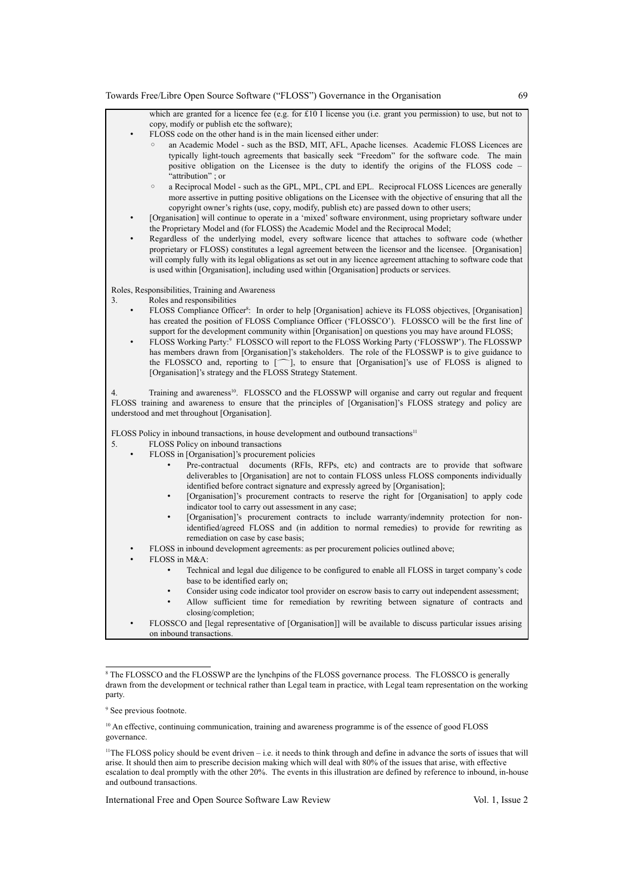

<span id="page-8-0"></span><sup>&</sup>lt;sup>8</sup> The FLOSSCO and the FLOSSWP are the lynchpins of the FLOSS governance process. The FLOSSCO is generally drawn from the development or technical rather than Legal team in practice, with Legal team representation on the working party.

International Free and Open Source Software Law Review Vol. 1, Issue 2

<span id="page-8-1"></span><sup>9</sup> See previous footnote.

<span id="page-8-2"></span><sup>&</sup>lt;sup>10</sup> An effective, continuing communication, training and awareness programme is of the essence of good FLOSS governance.

<span id="page-8-3"></span><sup>&</sup>lt;sup>11</sup>The FLOSS policy should be event driven – i.e. it needs to think through and define in advance the sorts of issues that will arise. It should then aim to prescribe decision making which will deal with 80% of the issues that arise, with effective escalation to deal promptly with the other 20%. The events in this illustration are defined by reference to inbound, in-house and outbound transactions.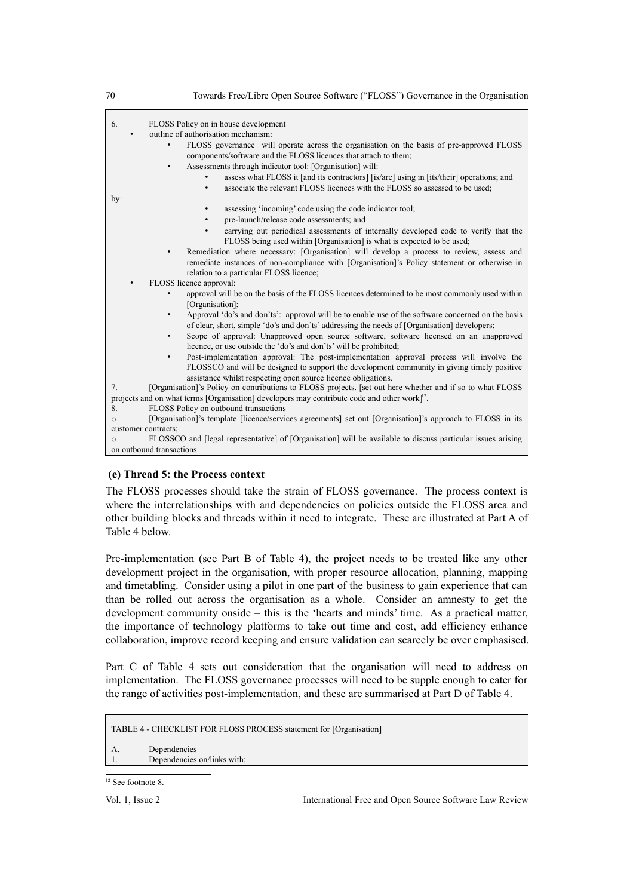| 70             | Towards Free/Libre Open Source Software ("FLOSS") Governance in the Organisation                                                                                                                                                    |
|----------------|-------------------------------------------------------------------------------------------------------------------------------------------------------------------------------------------------------------------------------------|
| 6.             | FLOSS Policy on in house development                                                                                                                                                                                                |
|                | outline of authorisation mechanism:                                                                                                                                                                                                 |
|                | FLOSS governance will operate across the organisation on the basis of pre-approved FLOSS<br>components/software and the FLOSS licences that attach to them;                                                                         |
|                | Assessments through indicator tool: [Organisation] will:                                                                                                                                                                            |
|                | assess what FLOSS it [and its contractors] [is/are] using in [its/their] operations; and<br>associate the relevant FLOSS licences with the FLOSS so assessed to be used;<br>$\bullet$                                               |
| by:            |                                                                                                                                                                                                                                     |
|                | assessing 'incoming' code using the code indicator tool;<br>pre-launch/release code assessments; and                                                                                                                                |
|                | carrying out periodical assessments of internally developed code to verify that the<br>FLOSS being used within [Organisation] is what is expected to be used;                                                                       |
|                | Remediation where necessary: [Organisation] will develop a process to review, assess and<br>remediate instances of non-compliance with [Organisation]'s Policy statement or otherwise in<br>relation to a particular FLOSS licence; |
|                | FLOSS licence approval:                                                                                                                                                                                                             |
|                | approval will be on the basis of the FLOSS licences determined to be most commonly used within<br>[Organisation];                                                                                                                   |
|                | Approval 'do's and don'ts': approval will be to enable use of the software concerned on the basis<br>$\bullet$<br>of clear, short, simple 'do's and don'ts' addressing the needs of [Organisation] developers;                      |
|                | Scope of approval: Unapproved open source software, software licensed on an unapproved<br>$\bullet$<br>licence, or use outside the 'do's and don'ts' will be prohibited;                                                            |
|                | Post-implementation approval: The post-implementation approval process will involve the<br>$\bullet$<br>FLOSSCO and will be designed to support the development community in giving timely positive                                 |
| 7 <sub>1</sub> | assistance whilst respecting open source licence obligations.<br>[Organisation]'s Policy on contributions to FLOSS projects. [set out here whether and if so to what FLOSS                                                          |
|                | projects and on what terms [Organisation] developers may contribute code and other work $]^{12}$ .                                                                                                                                  |
| 8.             | FLOSS Policy on outbound transactions                                                                                                                                                                                               |
| $\circ$        | [Organisation]'s template [licence/services agreements] set out [Organisation]'s approach to FLOSS in its                                                                                                                           |
|                | customer contracts;                                                                                                                                                                                                                 |
| $\circ$        | FLOSSCO and [legal representative] of [Organisation] will be available to discuss particular issues arising                                                                                                                         |

## **(e) Thread 5: the Process context**

on outbound transactions.

The FLOSS processes should take the strain of FLOSS governance. The process context is where the interrelationships with and dependencies on policies outside the FLOSS area and other building blocks and threads within it need to integrate. These are illustrated at Part A of Table 4 below.

Pre-implementation (see Part B of Table 4), the project needs to be treated like any other development project in the organisation, with proper resource allocation, planning, mapping and timetabling. Consider using a pilot in one part of the business to gain experience that can than be rolled out across the organisation as a whole. Consider an amnesty to get the development community onside – this is the 'hearts and minds' time. As a practical matter, the importance of technology platforms to take out time and cost, add efficiency enhance collaboration, improve record keeping and ensure validation can scarcely be over emphasised.

Part C of Table 4 sets out consideration that the organisation will need to address on implementation. The FLOSS governance processes will need to be supple enough to cater for the range of activities post-implementation, and these are summarised at Part D of Table 4.

TABLE 4 - CHECKLIST FOR FLOSS PROCESS statement for [Organisation] A. Dependencies 1. Dependencies on/links with:

Vol. 1, Issue 2 International Free and Open Source Software Law Review

<span id="page-9-0"></span><sup>&</sup>lt;sup>12</sup> See footnote 8.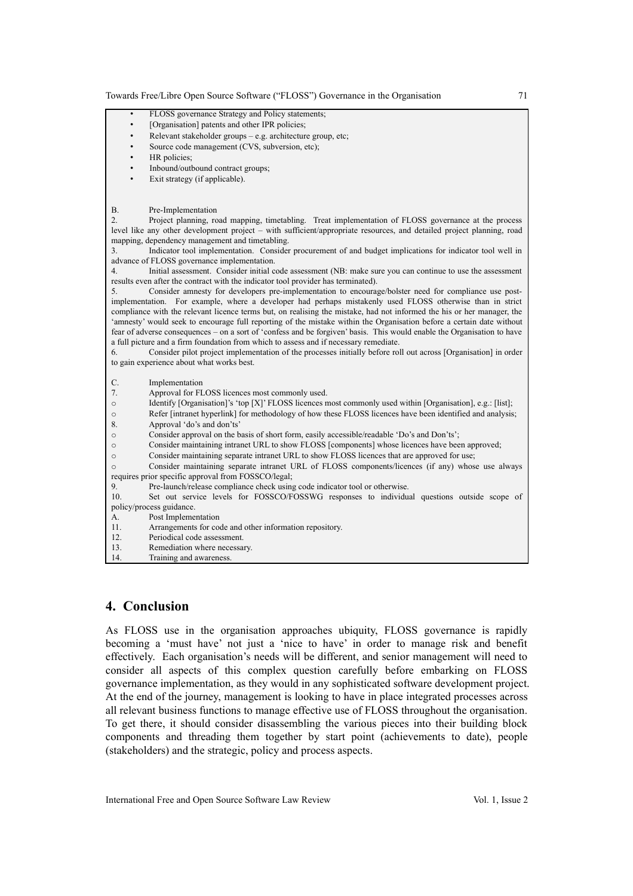| FLOSS governance Strategy and Policy statements;<br>$\bullet$                                                           |
|-------------------------------------------------------------------------------------------------------------------------|
| [Organisation] patents and other IPR policies;<br>$\bullet$                                                             |
| Relevant stakeholder groups – e.g. architecture group, etc;<br>$\bullet$                                                |
| Source code management (CVS, subversion, etc);<br>$\bullet$                                                             |
| HR policies;<br>$\bullet$                                                                                               |
| Inbound/outbound contract groups;<br>$\bullet$                                                                          |
| Exit strategy (if applicable).                                                                                          |
|                                                                                                                         |
|                                                                                                                         |
| <b>B.</b><br>Pre-Implementation                                                                                         |
| 2.<br>Project planning, road mapping, timetabling. Treat implementation of FLOSS governance at the process              |
| level like any other development project – with sufficient/appropriate resources, and detailed project planning, road   |
| mapping, dependency management and timetabling.                                                                         |
| Indicator tool implementation. Consider procurement of and budget implications for indicator tool well in<br>3.         |
| advance of FLOSS governance implementation.                                                                             |
| Initial assessment. Consider initial code assessment (NB: make sure you can continue to use the assessment<br>4.        |
| results even after the contract with the indicator tool provider has terminated).                                       |
| Consider amnesty for developers pre-implementation to encourage/bolster need for compliance use post-<br>5.             |
| implementation. For example, where a developer had perhaps mistakenly used FLOSS otherwise than in strict               |
| compliance with the relevant licence terms but, on realising the mistake, had not informed the his or her manager, the  |
| 'amnesty' would seek to encourage full reporting of the mistake within the Organisation before a certain date without   |
| fear of adverse consequences – on a sort of 'confess and be forgiven' basis. This would enable the Organisation to have |
| a full picture and a firm foundation from which to assess and if necessary remediate.                                   |
| Consider pilot project implementation of the processes initially before roll out across [Organisation] in order<br>6.   |
| to gain experience about what works best.                                                                               |
| C.<br>Implementation                                                                                                    |
| 7.<br>Approval for FLOSS licences most commonly used.                                                                   |
| Identify [Organisation]'s 'top [X]' FLOSS licences most commonly used within [Organisation], e.g.: [list];<br>$\circ$   |
| Refer [intranet hyperlink] for methodology of how these FLOSS licences have been identified and analysis;<br>$\circ$    |
| 8.<br>Approval 'do's and don'ts'                                                                                        |
| Consider approval on the basis of short form, easily accessible/readable 'Do's and Don'ts';<br>$\circ$                  |
| Consider maintaining intranet URL to show FLOSS [components] whose licences have been approved;<br>$\circ$              |
| Consider maintaining separate intranet URL to show FLOSS licences that are approved for use;<br>$\circ$                 |
| Consider maintaining separate intranet URL of FLOSS components/licences (if any) whose use always<br>$\circ$            |
| requires prior specific approval from FOSSCO/legal;                                                                     |
| Pre-launch/release compliance check using code indicator tool or otherwise.<br>9.                                       |
| 10.<br>Set out service levels for FOSSCO/FOSSWG responses to individual questions outside scope of                      |
| policy/process guidance.                                                                                                |
| Post Implementation<br>А.                                                                                               |
| 11.<br>Arrangements for code and other information repository.                                                          |
| 12.<br>Periodical code assessment.                                                                                      |
| 13.<br>Remediation where necessary.                                                                                     |
| 14.<br>Training and awareness.                                                                                          |

## **4. Conclusion**

As FLOSS use in the organisation approaches ubiquity, FLOSS governance is rapidly becoming a 'must have' not just a 'nice to have' in order to manage risk and benefit effectively. Each organisation's needs will be different, and senior management will need to consider all aspects of this complex question carefully before embarking on FLOSS governance implementation, as they would in any sophisticated software development project. At the end of the journey, management is looking to have in place integrated processes across all relevant business functions to manage effective use of FLOSS throughout the organisation. To get there, it should consider disassembling the various pieces into their building block components and threading them together by start point (achievements to date), people (stakeholders) and the strategic, policy and process aspects.